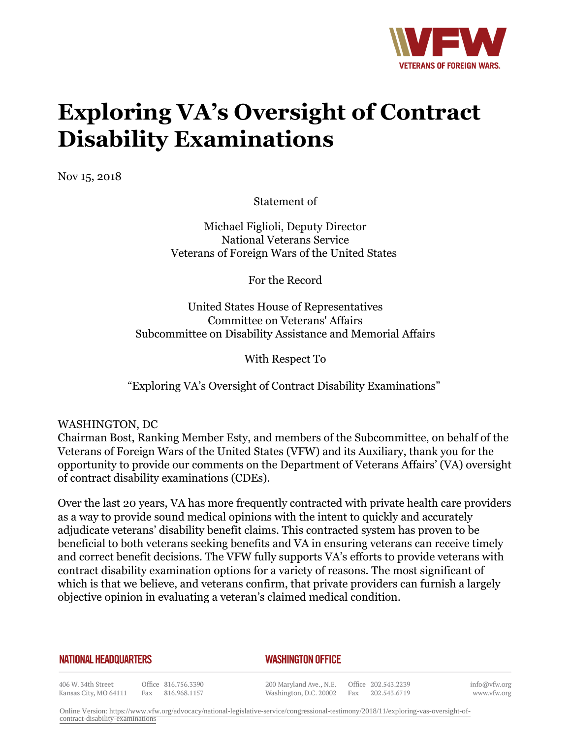

# **Exploring VA's Oversight of Contract Disability Examinations**

Nov 15, 2018

Statement of

Michael Figlioli, Deputy Director National Veterans Service Veterans of Foreign Wars of the United States

For the Record

United States House of Representatives Committee on Veterans' Affairs Subcommittee on Disability Assistance and Memorial Affairs

With Respect To

"Exploring VA's Oversight of Contract Disability Examinations"

WASHINGTON, DC

Chairman Bost, Ranking Member Esty, and members of the Subcommittee, on behalf of the Veterans of Foreign Wars of the United States (VFW) and its Auxiliary, thank you for the opportunity to provide our comments on the Department of Veterans Affairs' (VA) oversight of contract disability examinations (CDEs).

Over the last 20 years, VA has more frequently contracted with private health care providers as a way to provide sound medical opinions with the intent to quickly and accurately adjudicate veterans' disability benefit claims. This contracted system has proven to be beneficial to both veterans seeking benefits and VA in ensuring veterans can receive timely and correct benefit decisions. The VFW fully supports VA's efforts to provide veterans with contract disability examination options for a variety of reasons. The most significant of which is that we believe, and veterans confirm, that private providers can furnish a largely objective opinion in evaluating a veteran's claimed medical condition.

**NATIONAL HEADQUARTERS** 

#### *WASHINGTON OFFICE*

406 W. 34th Street Office 816.756.3390 Kansas City, MO 64111 Fax 816.968.1157

200 Maryland Ave., N.E. Washington, D.C. 20002

Office 202.543.2239 Fax 202.543.6719 info@vfw.org www.vfw.org

Online Version: [https://www.vfw.org/advocacy/national-legislative-service/congressional-testimony/2018/11/exploring-vas-oversight-of](https://www.vfw.org/advocacy/national-legislative-service/congressional-testimony/2018/11/exploring-vas-oversight-of-contract-disability-examinations)[contract-disability-examinations](https://www.vfw.org/advocacy/national-legislative-service/congressional-testimony/2018/11/exploring-vas-oversight-of-contract-disability-examinations)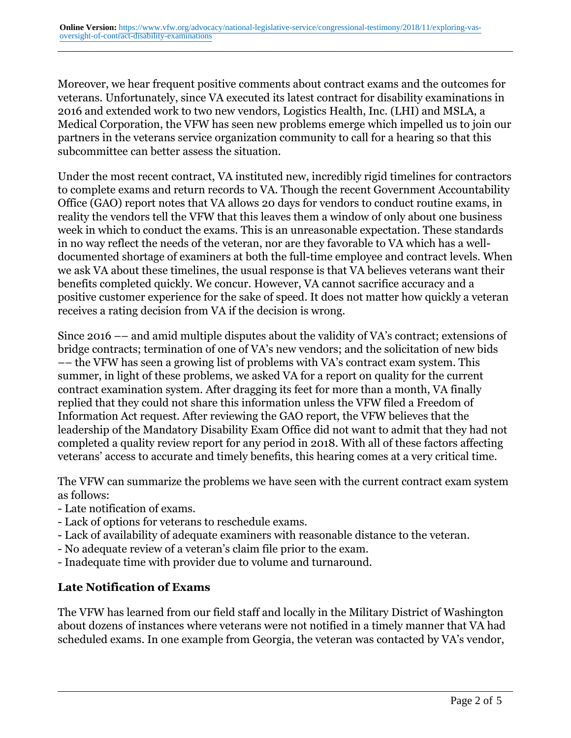Moreover, we hear frequent positive comments about contract exams and the outcomes for veterans. Unfortunately, since VA executed its latest contract for disability examinations in 2016 and extended work to two new vendors, Logistics Health, Inc. (LHI) and MSLA, a Medical Corporation, the VFW has seen new problems emerge which impelled us to join our partners in the veterans service organization community to call for a hearing so that this subcommittee can better assess the situation.

Under the most recent contract, VA instituted new, incredibly rigid timelines for contractors to complete exams and return records to VA. Though the recent Government Accountability Office (GAO) report notes that VA allows 20 days for vendors to conduct routine exams, in reality the vendors tell the VFW that this leaves them a window of only about one business week in which to conduct the exams. This is an unreasonable expectation. These standards in no way reflect the needs of the veteran, nor are they favorable to VA which has a welldocumented shortage of examiners at both the full-time employee and contract levels. When we ask VA about these timelines, the usual response is that VA believes veterans want their benefits completed quickly. We concur. However, VA cannot sacrifice accuracy and a positive customer experience for the sake of speed. It does not matter how quickly a veteran receives a rating decision from VA if the decision is wrong.

Since 2016 –– and amid multiple disputes about the validity of VA's contract; extensions of bridge contracts; termination of one of VA's new vendors; and the solicitation of new bids –– the VFW has seen a growing list of problems with VA's contract exam system. This summer, in light of these problems, we asked VA for a report on quality for the current contract examination system. After dragging its feet for more than a month, VA finally replied that they could not share this information unless the VFW filed a Freedom of Information Act request. After reviewing the GAO report, the VFW believes that the leadership of the Mandatory Disability Exam Office did not want to admit that they had not completed a quality review report for any period in 2018. With all of these factors affecting veterans' access to accurate and timely benefits, this hearing comes at a very critical time.

The VFW can summarize the problems we have seen with the current contract exam system as follows:

- Late notification of exams.
- Lack of options for veterans to reschedule exams.
- Lack of availability of adequate examiners with reasonable distance to the veteran.
- No adequate review of a veteran's claim file prior to the exam.
- Inadequate time with provider due to volume and turnaround.

#### **Late Notification of Exams**

The VFW has learned from our field staff and locally in the Military District of Washington about dozens of instances where veterans were not notified in a timely manner that VA had scheduled exams. In one example from Georgia, the veteran was contacted by VA's vendor,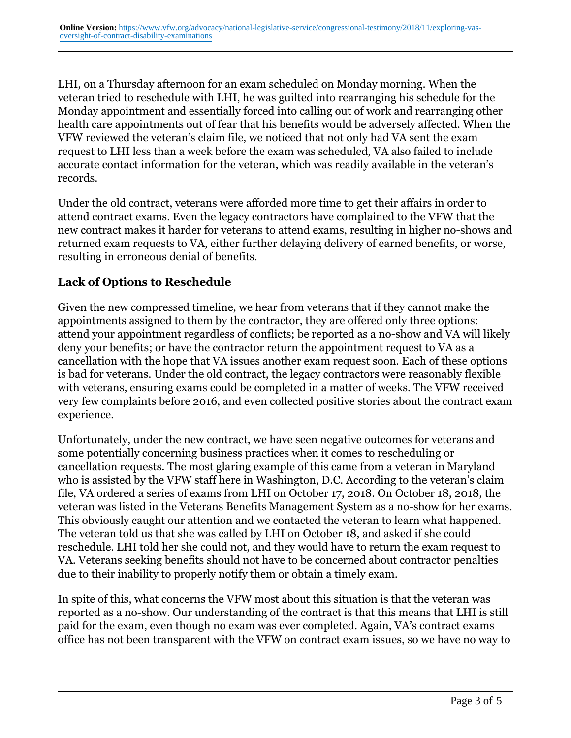LHI, on a Thursday afternoon for an exam scheduled on Monday morning. When the veteran tried to reschedule with LHI, he was guilted into rearranging his schedule for the Monday appointment and essentially forced into calling out of work and rearranging other health care appointments out of fear that his benefits would be adversely affected. When the VFW reviewed the veteran's claim file, we noticed that not only had VA sent the exam request to LHI less than a week before the exam was scheduled, VA also failed to include accurate contact information for the veteran, which was readily available in the veteran's records.

Under the old contract, veterans were afforded more time to get their affairs in order to attend contract exams. Even the legacy contractors have complained to the VFW that the new contract makes it harder for veterans to attend exams, resulting in higher no-shows and returned exam requests to VA, either further delaying delivery of earned benefits, or worse, resulting in erroneous denial of benefits.

### **Lack of Options to Reschedule**

Given the new compressed timeline, we hear from veterans that if they cannot make the appointments assigned to them by the contractor, they are offered only three options: attend your appointment regardless of conflicts; be reported as a no-show and VA will likely deny your benefits; or have the contractor return the appointment request to VA as a cancellation with the hope that VA issues another exam request soon. Each of these options is bad for veterans. Under the old contract, the legacy contractors were reasonably flexible with veterans, ensuring exams could be completed in a matter of weeks. The VFW received very few complaints before 2016, and even collected positive stories about the contract exam experience.

Unfortunately, under the new contract, we have seen negative outcomes for veterans and some potentially concerning business practices when it comes to rescheduling or cancellation requests. The most glaring example of this came from a veteran in Maryland who is assisted by the VFW staff here in Washington, D.C. According to the veteran's claim file, VA ordered a series of exams from LHI on October 17, 2018. On October 18, 2018, the veteran was listed in the Veterans Benefits Management System as a no-show for her exams. This obviously caught our attention and we contacted the veteran to learn what happened. The veteran told us that she was called by LHI on October 18, and asked if she could reschedule. LHI told her she could not, and they would have to return the exam request to VA. Veterans seeking benefits should not have to be concerned about contractor penalties due to their inability to properly notify them or obtain a timely exam.

In spite of this, what concerns the VFW most about this situation is that the veteran was reported as a no-show. Our understanding of the contract is that this means that LHI is still paid for the exam, even though no exam was ever completed. Again, VA's contract exams office has not been transparent with the VFW on contract exam issues, so we have no way to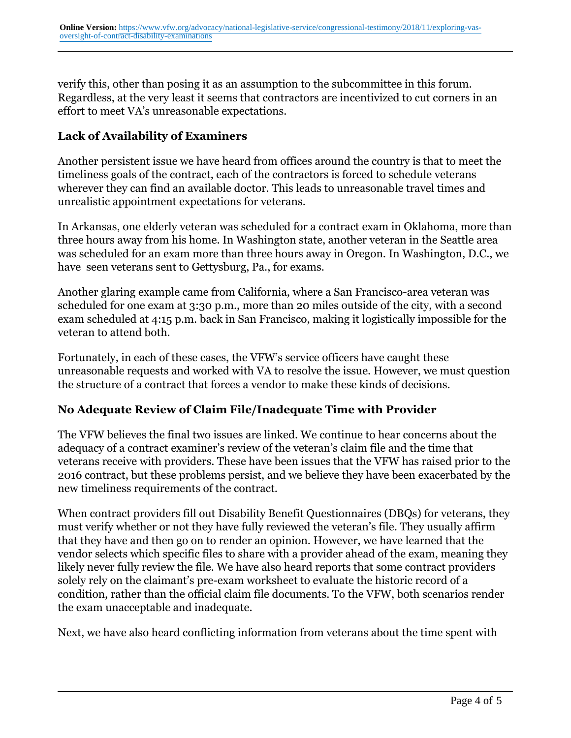verify this, other than posing it as an assumption to the subcommittee in this forum. Regardless, at the very least it seems that contractors are incentivized to cut corners in an effort to meet VA's unreasonable expectations.

### **Lack of Availability of Examiners**

Another persistent issue we have heard from offices around the country is that to meet the timeliness goals of the contract, each of the contractors is forced to schedule veterans wherever they can find an available doctor. This leads to unreasonable travel times and unrealistic appointment expectations for veterans.

In Arkansas, one elderly veteran was scheduled for a contract exam in Oklahoma, more than three hours away from his home. In Washington state, another veteran in the Seattle area was scheduled for an exam more than three hours away in Oregon. In Washington, D.C., we have seen veterans sent to Gettysburg, Pa., for exams.

Another glaring example came from California, where a San Francisco-area veteran was scheduled for one exam at 3:30 p.m., more than 20 miles outside of the city, with a second exam scheduled at 4:15 p.m. back in San Francisco, making it logistically impossible for the veteran to attend both.

Fortunately, in each of these cases, the VFW's service officers have caught these unreasonable requests and worked with VA to resolve the issue. However, we must question the structure of a contract that forces a vendor to make these kinds of decisions.

# **No Adequate Review of Claim File/Inadequate Time with Provider**

The VFW believes the final two issues are linked. We continue to hear concerns about the adequacy of a contract examiner's review of the veteran's claim file and the time that veterans receive with providers. These have been issues that the VFW has raised prior to the 2016 contract, but these problems persist, and we believe they have been exacerbated by the new timeliness requirements of the contract.

When contract providers fill out Disability Benefit Questionnaires (DBQs) for veterans, they must verify whether or not they have fully reviewed the veteran's file. They usually affirm that they have and then go on to render an opinion. However, we have learned that the vendor selects which specific files to share with a provider ahead of the exam, meaning they likely never fully review the file. We have also heard reports that some contract providers solely rely on the claimant's pre-exam worksheet to evaluate the historic record of a condition, rather than the official claim file documents. To the VFW, both scenarios render the exam unacceptable and inadequate.

Next, we have also heard conflicting information from veterans about the time spent with